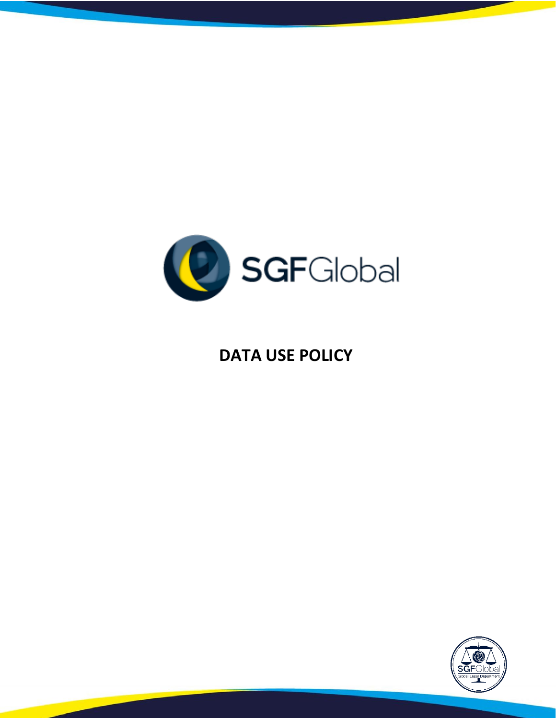

# **DATA USE POLICY**

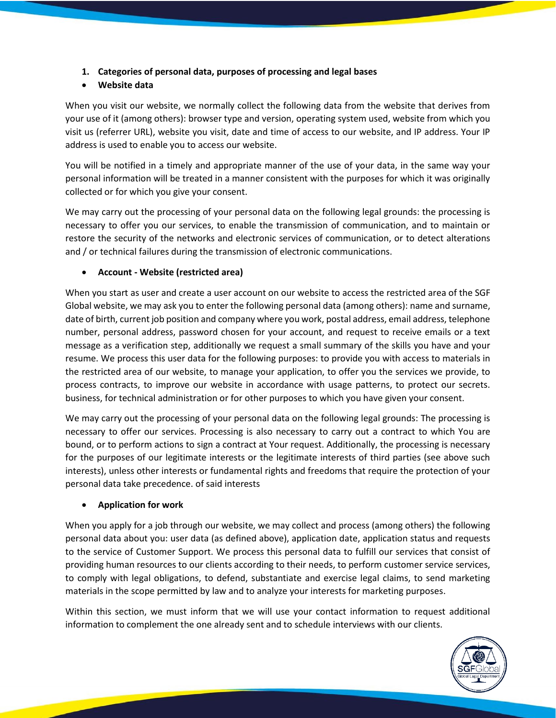**1. Categories of personal data, purposes of processing and legal bases**

# • **Website data**

When you visit our website, we normally collect the following data from the website that derives from your use of it (among others): browser type and version, operating system used, website from which you visit us (referrer URL), website you visit, date and time of access to our website, and IP address. Your IP address is used to enable you to access our website.

You will be notified in a timely and appropriate manner of the use of your data, in the same way your personal information will be treated in a manner consistent with the purposes for which it was originally collected or for which you give your consent.

We may carry out the processing of your personal data on the following legal grounds: the processing is necessary to offer you our services, to enable the transmission of communication, and to maintain or restore the security of the networks and electronic services of communication, or to detect alterations and / or technical failures during the transmission of electronic communications.

#### • **Account - Website (restricted area)**

When you start as user and create a user account on our website to access the restricted area of the SGF Global website, we may ask you to enter the following personal data (among others): name and surname, date of birth, current job position and company where you work, postal address, email address, telephone number, personal address, password chosen for your account, and request to receive emails or a text message as a verification step, additionally we request a small summary of the skills you have and your resume. We process this user data for the following purposes: to provide you with access to materials in the restricted area of our website, to manage your application, to offer you the services we provide, to process contracts, to improve our website in accordance with usage patterns, to protect our secrets. business, for technical administration or for other purposes to which you have given your consent.

We may carry out the processing of your personal data on the following legal grounds: The processing is necessary to offer our services. Processing is also necessary to carry out a contract to which You are bound, or to perform actions to sign a contract at Your request. Additionally, the processing is necessary for the purposes of our legitimate interests or the legitimate interests of third parties (see above such interests), unless other interests or fundamental rights and freedoms that require the protection of your personal data take precedence. of said interests

#### • **Application for work**

When you apply for a job through our website, we may collect and process (among others) the following personal data about you: user data (as defined above), application date, application status and requests to the service of Customer Support. We process this personal data to fulfill our services that consist of providing human resources to our clients according to their needs, to perform customer service services, to comply with legal obligations, to defend, substantiate and exercise legal claims, to send marketing materials in the scope permitted by law and to analyze your interests for marketing purposes.

Within this section, we must inform that we will use your contact information to request additional information to complement the one already sent and to schedule interviews with our clients.

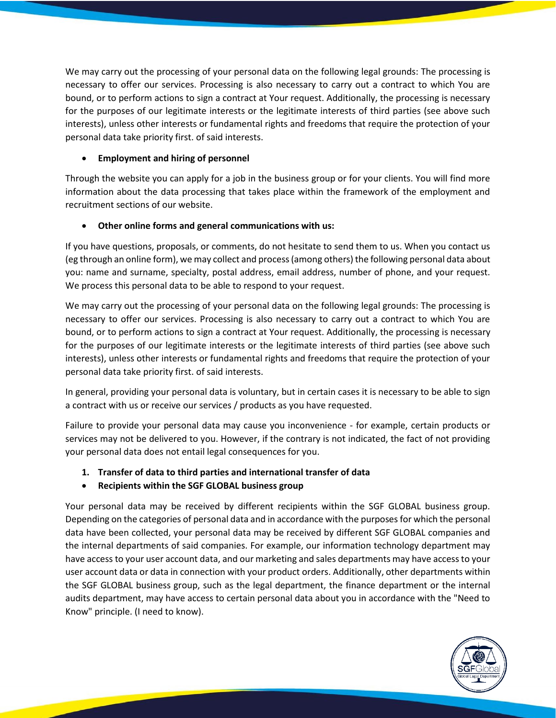We may carry out the processing of your personal data on the following legal grounds: The processing is necessary to offer our services. Processing is also necessary to carry out a contract to which You are bound, or to perform actions to sign a contract at Your request. Additionally, the processing is necessary for the purposes of our legitimate interests or the legitimate interests of third parties (see above such interests), unless other interests or fundamental rights and freedoms that require the protection of your personal data take priority first. of said interests.

## • **Employment and hiring of personnel**

Through the website you can apply for a job in the business group or for your clients. You will find more information about the data processing that takes place within the framework of the employment and recruitment sections of our website.

## • **Other online forms and general communications with us:**

If you have questions, proposals, or comments, do not hesitate to send them to us. When you contact us (eg through an online form), we may collect and process (among others) the following personal data about you: name and surname, specialty, postal address, email address, number of phone, and your request. We process this personal data to be able to respond to your request.

We may carry out the processing of your personal data on the following legal grounds: The processing is necessary to offer our services. Processing is also necessary to carry out a contract to which You are bound, or to perform actions to sign a contract at Your request. Additionally, the processing is necessary for the purposes of our legitimate interests or the legitimate interests of third parties (see above such interests), unless other interests or fundamental rights and freedoms that require the protection of your personal data take priority first. of said interests.

In general, providing your personal data is voluntary, but in certain cases it is necessary to be able to sign a contract with us or receive our services / products as you have requested.

Failure to provide your personal data may cause you inconvenience - for example, certain products or services may not be delivered to you. However, if the contrary is not indicated, the fact of not providing your personal data does not entail legal consequences for you.

- **1. Transfer of data to third parties and international transfer of data**
- **Recipients within the SGF GLOBAL business group**

Your personal data may be received by different recipients within the SGF GLOBAL business group. Depending on the categories of personal data and in accordance with the purposes for which the personal data have been collected, your personal data may be received by different SGF GLOBAL companies and the internal departments of said companies. For example, our information technology department may have access to your user account data, and our marketing and sales departments may have access to your user account data or data in connection with your product orders. Additionally, other departments within the SGF GLOBAL business group, such as the legal department, the finance department or the internal audits department, may have access to certain personal data about you in accordance with the "Need to Know" principle. (I need to know).

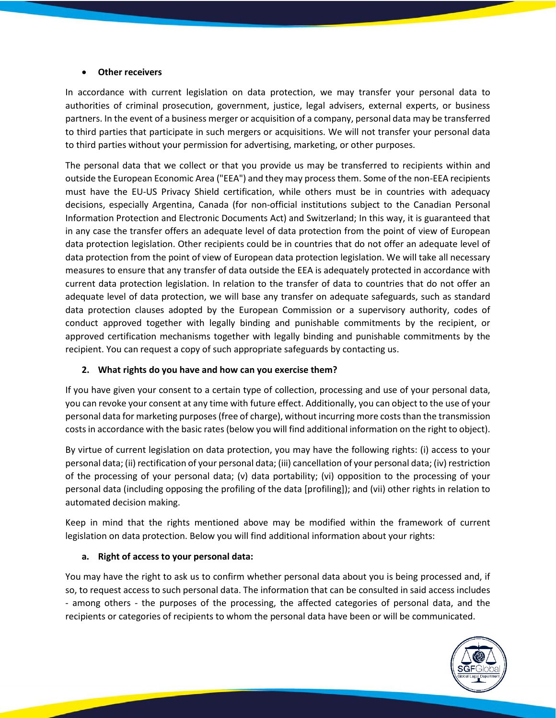#### • **Other receivers**

In accordance with current legislation on data protection, we may transfer your personal data to authorities of criminal prosecution, government, justice, legal advisers, external experts, or business partners. In the event of a business merger or acquisition of a company, personal data may be transferred to third parties that participate in such mergers or acquisitions. We will not transfer your personal data to third parties without your permission for advertising, marketing, or other purposes.

The personal data that we collect or that you provide us may be transferred to recipients within and outside the European Economic Area ("EEA") and they may process them. Some of the non-EEA recipients must have the EU-US Privacy Shield certification, while others must be in countries with adequacy decisions, especially Argentina, Canada (for non-official institutions subject to the Canadian Personal Information Protection and Electronic Documents Act) and Switzerland; In this way, it is guaranteed that in any case the transfer offers an adequate level of data protection from the point of view of European data protection legislation. Other recipients could be in countries that do not offer an adequate level of data protection from the point of view of European data protection legislation. We will take all necessary measures to ensure that any transfer of data outside the EEA is adequately protected in accordance with current data protection legislation. In relation to the transfer of data to countries that do not offer an adequate level of data protection, we will base any transfer on adequate safeguards, such as standard data protection clauses adopted by the European Commission or a supervisory authority, codes of conduct approved together with legally binding and punishable commitments by the recipient, or approved certification mechanisms together with legally binding and punishable commitments by the recipient. You can request a copy of such appropriate safeguards by contacting us.

#### **2. What rights do you have and how can you exercise them?**

If you have given your consent to a certain type of collection, processing and use of your personal data, you can revoke your consent at any time with future effect. Additionally, you can object to the use of your personal data for marketing purposes (free of charge), without incurring more costs than the transmission costs in accordance with the basic rates (below you will find additional information on the right to object).

By virtue of current legislation on data protection, you may have the following rights: (i) access to your personal data; (ii) rectification of your personal data; (iii) cancellation of your personal data; (iv) restriction of the processing of your personal data; (v) data portability; (vi) opposition to the processing of your personal data (including opposing the profiling of the data [profiling]); and (vii) other rights in relation to automated decision making.

Keep in mind that the rights mentioned above may be modified within the framework of current legislation on data protection. Below you will find additional information about your rights:

#### **a. Right of access to your personal data:**

You may have the right to ask us to confirm whether personal data about you is being processed and, if so, to request access to such personal data. The information that can be consulted in said access includes - among others - the purposes of the processing, the affected categories of personal data, and the recipients or categories of recipients to whom the personal data have been or will be communicated.

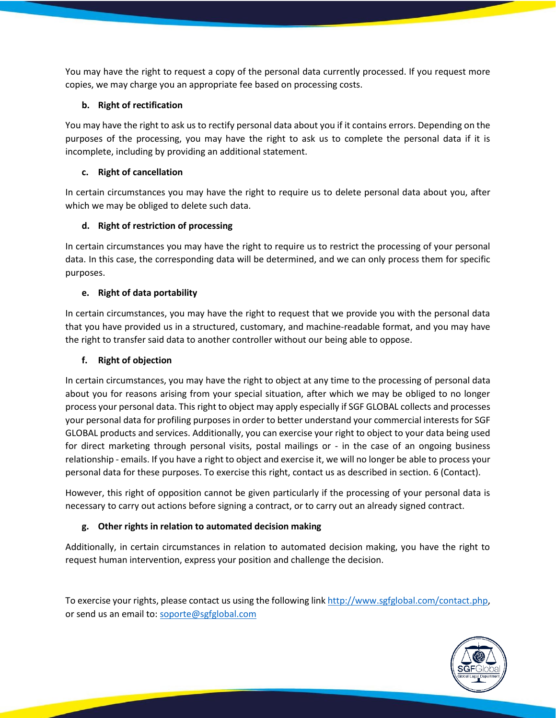You may have the right to request a copy of the personal data currently processed. If you request more copies, we may charge you an appropriate fee based on processing costs.

## **b. Right of rectification**

You may have the right to ask us to rectify personal data about you if it contains errors. Depending on the purposes of the processing, you may have the right to ask us to complete the personal data if it is incomplete, including by providing an additional statement.

## **c. Right of cancellation**

In certain circumstances you may have the right to require us to delete personal data about you, after which we may be obliged to delete such data.

#### **d. Right of restriction of processing**

In certain circumstances you may have the right to require us to restrict the processing of your personal data. In this case, the corresponding data will be determined, and we can only process them for specific purposes.

#### **e. Right of data portability**

In certain circumstances, you may have the right to request that we provide you with the personal data that you have provided us in a structured, customary, and machine-readable format, and you may have the right to transfer said data to another controller without our being able to oppose.

#### **f. Right of objection**

In certain circumstances, you may have the right to object at any time to the processing of personal data about you for reasons arising from your special situation, after which we may be obliged to no longer process your personal data. This right to object may apply especially if SGF GLOBAL collects and processes your personal data for profiling purposes in order to better understand your commercial interests for SGF GLOBAL products and services. Additionally, you can exercise your right to object to your data being used for direct marketing through personal visits, postal mailings or - in the case of an ongoing business relationship - emails. If you have a right to object and exercise it, we will no longer be able to process your personal data for these purposes. To exercise this right, contact us as described in section. 6 (Contact).

However, this right of opposition cannot be given particularly if the processing of your personal data is necessary to carry out actions before signing a contract, or to carry out an already signed contract.

# **g. Other rights in relation to automated decision making**

Additionally, in certain circumstances in relation to automated decision making, you have the right to request human intervention, express your position and challenge the decision.

To exercise your rights, please contact us using the following link [http://www.sgfglobal.com/contact.php,](http://www.sgfglobal.com/contact.php) or send us an email to: [soporte@sgfglobal.com](mailto:soporte@sgfglobal.com)